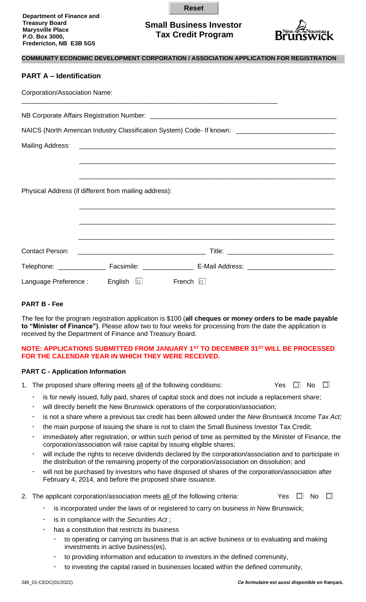| <b>Department of Finance and</b> |  |
|----------------------------------|--|
| <b>Treasury Board</b>            |  |
| <b>Marysville Place</b>          |  |
| P.O. Box 3000,                   |  |
| Fredericton, NB E3B 5G5          |  |
|                                  |  |

# **Small Business Investor Tax Credit Program**

**Reset**

\_\_\_\_\_\_\_\_\_\_\_\_\_\_\_\_\_\_\_\_\_\_\_\_\_\_\_\_\_\_\_\_\_\_\_\_\_\_\_\_\_\_\_\_\_\_\_\_\_\_\_\_\_\_\_\_\_\_\_\_\_\_\_\_\_\_\_\_\_\_



# **COMMUNITY ECONOMIC DEVELOPMENT CORPORATION / ASSOCIATION APPLICATION FOR REGISTRATION PART A – Identification** Corporation/Association Name: \_\_\_\_\_\_\_\_\_\_\_\_\_\_\_\_\_\_\_\_\_\_\_\_\_\_\_\_\_\_\_\_\_\_\_\_\_\_\_\_\_\_\_\_\_\_\_\_\_\_\_\_\_\_\_\_\_\_\_\_\_\_\_\_\_\_\_\_\_\_

NB Corporate Affairs Registration Number: \_\_\_\_\_\_\_\_\_\_\_\_\_\_\_\_\_\_\_\_\_\_\_\_\_\_\_\_\_\_\_\_\_\_\_\_\_\_\_\_\_\_\_\_\_\_\_\_\_\_\_

NAICS (North American Industry Classification System) Code- If known:

Mailing Address:

| Physical Address (if different from mailing address): |                |               |  |
|-------------------------------------------------------|----------------|---------------|--|
|                                                       |                |               |  |
|                                                       |                |               |  |
|                                                       |                |               |  |
|                                                       |                |               |  |
| Language Preference :                                 | English $\Box$ | French $\Box$ |  |

# **PART B - Fee**

The fee for the program registration application is \$100 (**all cheques or money orders to be made payable to "Minister of Finance")**. Please allow two to four weeks for processing from the date the application is received by the Department of Finance and Treasury Board.

### **NOTE: APPLICATIONS SUBMITTED FROM JANUARY 1ST TO DECEMBER 31ST WILL BE PROCESSED FOR THE CALENDAR YEAR IN WHICH THEY WERE RECEIVED.**

## **PART C - Application Information**

- 1. The proposed share offering meets all of the following conditions:  $\Box$  Yes  $\Box$  No  $\Box$ 
	- is for newly issued, fully paid, shares of capital stock and does not include a replacement share;
	- will directly benefit the New Brunswick operations of the corporation/association;
	- is not a share where a previous tax credit has been allowed under the *New Brunswick Income Tax Act;*
	- the main purpose of issuing the share is not to claim the Small Business Investor Tax Credit;
	- immediately after registration, or within such period of time as permitted by the Minister of Finance, the corporation/association will raise capital by issuing eligible shares;
	- will include the rights to receive dividends declared by the corporation/association and to participate in the distribution of the remaining property of the corporation/association on dissolution; and
	- will not be purchased by investors who have disposed of shares of the corporation/association after February 4, 2014, and before the proposed share issuance.
- 2. The applicant corporation/association meets all of the following criteria: Yes  $\Box$  No  $\Box$ 
	- is incorporated under the laws of or registered to carry on business in New Brunswick;
	- is in compliance with the *Securities Act* ;
	- has a constitution that restricts its business
		- to operating or carrying on business that is an active business or to evaluating and making investments in active business(es),
		- to providing information and education to investors in the defined community,
		- to investing the capital raised in businesses located within the defined community,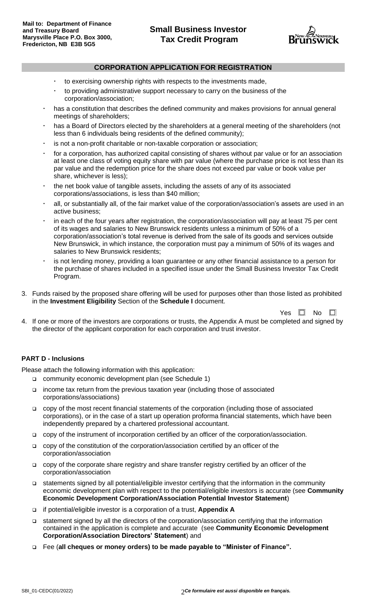

## **CORPORATION APPLICATION FOR REGISTRATION**

- to exercising ownership rights with respects to the investments made,
- to providing administrative support necessary to carry on the business of the corporation/association;
- has a constitution that describes the defined community and makes provisions for annual general meetings of shareholders;
- has a Board of Directors elected by the shareholders at a general meeting of the shareholders (not less than 6 individuals being residents of the defined community);
- is not a non-profit charitable or non-taxable corporation or association;
- for a corporation, has authorized capital consisting of shares without par value or for an association at least one class of voting equity share with par value (where the purchase price is not less than its par value and the redemption price for the share does not exceed par value or book value per share, whichever is less);
- the net book value of tangible assets, including the assets of any of its associated corporations/associations, is less than \$40 million;
- all, or substantially all, of the fair market value of the corporation/association's assets are used in an active business;
- in each of the four years after registration, the corporation/association will pay at least 75 per cent of its wages and salaries to New Brunswick residents unless a minimum of 50% of a corporation/association's total revenue is derived from the sale of its goods and services outside New Brunswick, in which instance, the corporation must pay a minimum of 50% of its wages and salaries to New Brunswick residents;
- is not lending money, providing a loan guarantee or any other financial assistance to a person for the purchase of shares included in a specified issue under the Small Business Investor Tax Credit Program.
- 3. Funds raised by the proposed share offering will be used for purposes other than those listed as prohibited in the **Investment Eligibility** Section of the **Schedule I** document.

Yes  $\square$  No  $\square$ 

4. If one or more of the investors are corporations or trusts, the Appendix A must be completed and signed by the director of the applicant corporation for each corporation and trust investor.

#### **PART D - Inclusions**

Please attach the following information with this application:

- ❑ community economic development plan (see Schedule 1)
- ❑ income tax return from the previous taxation year (including those of associated corporations/associations)
- ❑ copy of the most recent financial statements of the corporation (including those of associated corporations), or in the case of a start up operation proforma financial statements, which have been independently prepared by a chartered professional accountant.
- ❑ copy of the instrument of incorporation certified by an officer of the corporation/association.
- ❑ copy of the constitution of the corporation/association certified by an officer of the corporation/association
- ❑ copy of the corporate share registry and share transfer registry certified by an officer of the corporation/association
- ❑ statements signed by all potential/eligible investor certifying that the information in the community economic development plan with respect to the potential/eligible investors is accurate (see **Community Economic Development Corporation/Association Potential Investor Statement**)
- ❑ if potential/eligible investor is a corporation of a trust, **Appendix A**
- ❑ statement signed by all the directors of the corporation/association certifying that the information contained in the application is complete and accurate (see **Community Economic Development Corporation/Association Directors' Statement**) and
- ❑ Fee (**all cheques or money orders) to be made payable to "Minister of Finance".**